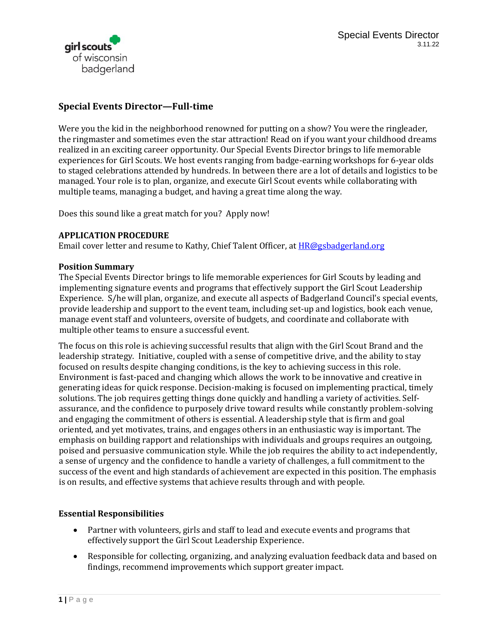

# **Special Events Director—Full-time**

Were you the kid in the neighborhood renowned for putting on a show? You were the ringleader, the ringmaster and sometimes even the star attraction! Read on if you want your childhood dreams realized in an exciting career opportunity. Our Special Events Director brings to life memorable experiences for Girl Scouts. We host events ranging from badge-earning workshops for 6-year olds to staged celebrations attended by hundreds. In between there are a lot of details and logistics to be managed. Your role is to plan, organize, and execute Girl Scout events while collaborating with multiple teams, managing a budget, and having a great time along the way.

Does this sound like a great match for you? Apply now!

### **APPLICATION PROCEDURE**

Email cover letter and resume to Kathy, Chief Talent Officer, at **[HR@gsbadgerland.org](mailto:HR@gsbadgerland.org)** 

#### **Position Summary**

The Special Events Director brings to life memorable experiences for Girl Scouts by leading and implementing signature events and programs that effectively support the Girl Scout Leadership Experience. S/he will plan, organize, and execute all aspects of Badgerland Council's special events, provide leadership and support to the event team, including set-up and logistics, book each venue, manage event staff and volunteers, oversite of budgets, and coordinate and collaborate with multiple other teams to ensure a successful event.

The focus on this role is achieving successful results that align with the Girl Scout Brand and the leadership strategy. Initiative, coupled with a sense of competitive drive, and the ability to stay focused on results despite changing conditions, is the key to achieving success in this role. Environment is fast-paced and changing which allows the work to be innovative and creative in generating ideas for quick response. Decision-making is focused on implementing practical, timely solutions. The job requires getting things done quickly and handling a variety of activities. Selfassurance, and the confidence to purposely drive toward results while constantly problem-solving and engaging the commitment of others is essential. A leadership style that is firm and goal oriented, and yet motivates, trains, and engages others in an enthusiastic way is important. The emphasis on building rapport and relationships with individuals and groups requires an outgoing, poised and persuasive communication style. While the job requires the ability to act independently, a sense of urgency and the confidence to handle a variety of challenges, a full commitment to the success of the event and high standards of achievement are expected in this position. The emphasis is on results, and effective systems that achieve results through and with people.

### **Essential Responsibilities**

- Partner with volunteers, girls and staff to lead and execute events and programs that effectively support the Girl Scout Leadership Experience.
- Responsible for collecting, organizing, and analyzing evaluation feedback data and based on findings, recommend improvements which support greater impact.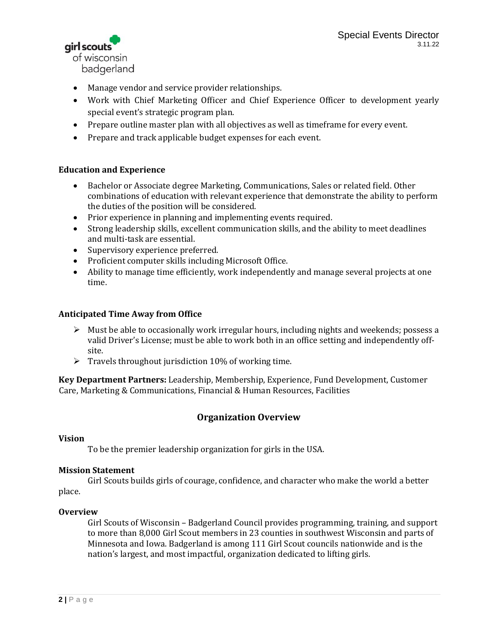airl scouts of wisconsin badgerland

- Manage vendor and service provider relationships.
- Work with Chief Marketing Officer and Chief Experience Officer to development yearly special event's strategic program plan.
- Prepare outline master plan with all objectives as well as timeframe for every event.
- Prepare and track applicable budget expenses for each event.

# **Education and Experience**

- Bachelor or Associate degree Marketing, Communications, Sales or related field. Other combinations of education with relevant experience that demonstrate the ability to perform the duties of the position will be considered.
- Prior experience in planning and implementing events required.
- Strong leadership skills, excellent communication skills, and the ability to meet deadlines and multi-task are essential.
- Supervisory experience preferred.
- Proficient computer skills including Microsoft Office.
- Ability to manage time efficiently, work independently and manage several projects at one time.

### **Anticipated Time Away from Office**

- $\triangleright$  Must be able to occasionally work irregular hours, including nights and weekends; possess a valid Driver's License; must be able to work both in an office setting and independently offsite.
- $\triangleright$  Travels throughout jurisdiction 10% of working time.

**Key Department Partners:** Leadership, Membership, Experience, Fund Development, Customer Care, Marketing & Communications, Financial & Human Resources, Facilities

# **Organization Overview**

### **Vision**

To be the premier leadership organization for girls in the USA.

### **Mission Statement**

Girl Scouts builds girls of courage, confidence, and character who make the world a better place.

### **Overview**

Girl Scouts of Wisconsin – Badgerland Council provides programming, training, and support to more than 8,000 Girl Scout members in 23 counties in southwest Wisconsin and parts of Minnesota and Iowa. Badgerland is among 111 Girl Scout councils nationwide and is the nation's largest, and most impactful, organization dedicated to lifting girls.